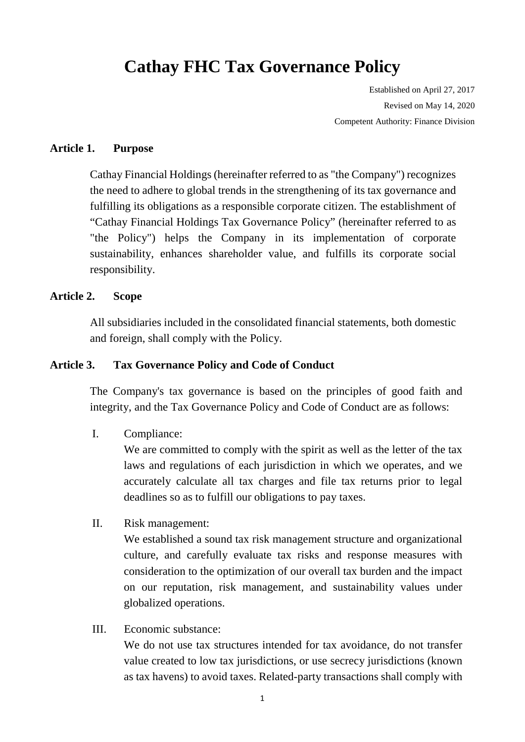# **Cathay FHC Tax Governance Policy**

Established on April 27, 2017 Revised on May 14, 2020 Competent Authority: Finance Division

#### **Article 1. Purpose**

Cathay Financial Holdings (hereinafter referred to as "the Company") recognizes the need to adhere to global trends in the strengthening of its tax governance and fulfilling its obligations as a responsible corporate citizen. The establishment of "Cathay Financial Holdings Tax Governance Policy" (hereinafter referred to as "the Policy") helps the Company in its implementation of corporate sustainability, enhances shareholder value, and fulfills its corporate social responsibility.

#### **Article 2. Scope**

All subsidiaries included in the consolidated financial statements, both domestic and foreign, shall comply with the Policy.

#### **Article 3. Tax Governance Policy and Code of Conduct**

The Company's tax governance is based on the principles of good faith and integrity, and the Tax Governance Policy and Code of Conduct are as follows:

I. Compliance:

We are committed to comply with the spirit as well as the letter of the tax laws and regulations of each jurisdiction in which we operates, and we accurately calculate all tax charges and file tax returns prior to legal deadlines so as to fulfill our obligations to pay taxes.

II. Risk management:

We established a sound tax risk management structure and organizational culture, and carefully evaluate tax risks and response measures with consideration to the optimization of our overall tax burden and the impact on our reputation, risk management, and sustainability values under globalized operations.

III. Economic substance:

We do not use tax structures intended for tax avoidance, do not transfer value created to low tax jurisdictions, or use secrecy jurisdictions (known as tax havens) to avoid taxes. Related-party transactions shall comply with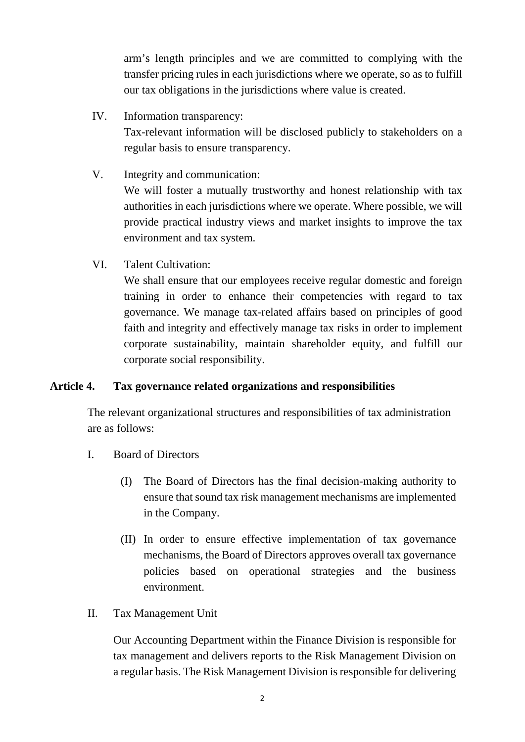arm's length principles and we are committed to complying with the transfer pricing rules in each jurisdictions where we operate, so as to fulfill our tax obligations in the jurisdictions where value is created.

- IV. Information transparency: Tax-relevant information will be disclosed publicly to stakeholders on a regular basis to ensure transparency.
- V. Integrity and communication: We will foster a mutually trustworthy and honest relationship with tax authorities in each jurisdictions where we operate. Where possible, we will provide practical industry views and market insights to improve the tax environment and tax system.
- VI. Talent Cultivation:

We shall ensure that our employees receive regular domestic and foreign training in order to enhance their competencies with regard to tax governance. We manage tax-related affairs based on principles of good faith and integrity and effectively manage tax risks in order to implement corporate sustainability, maintain shareholder equity, and fulfill our corporate social responsibility.

# **Article 4. Tax governance related organizations and responsibilities**

The relevant organizational structures and responsibilities of tax administration are as follows:

- I. Board of Directors
	- (I) The Board of Directors has the final decision-making authority to ensure that sound tax risk management mechanisms are implemented in the Company.
	- (II) In order to ensure effective implementation of tax governance mechanisms, the Board of Directors approves overall tax governance policies based on operational strategies and the business environment.
- II. Tax Management Unit

Our Accounting Department within the Finance Division is responsible for tax management and delivers reports to the Risk Management Division on a regular basis. The Risk Management Division is responsible for delivering